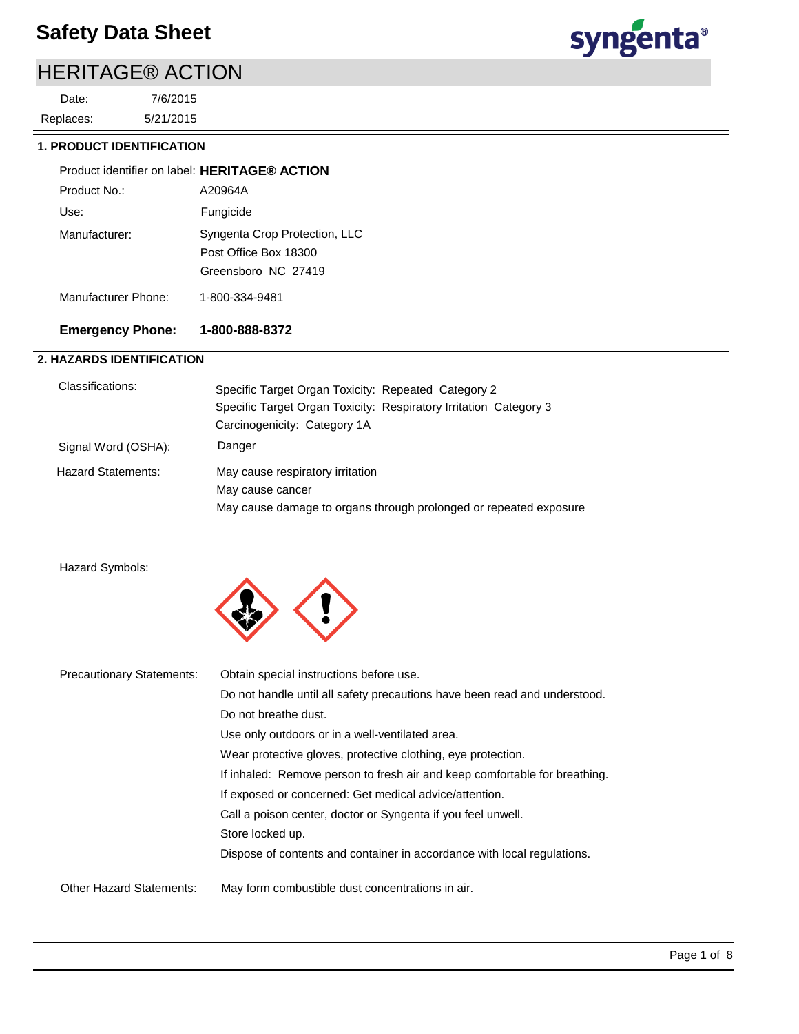# HERITAGE® ACTION

5/21/2015 7/6/2015 Replaces: Date:



### **1. PRODUCT IDENTIFICATION**

| Product identifier on label: HERITAGE® ACTION |                                                                               |
|-----------------------------------------------|-------------------------------------------------------------------------------|
| Product No.:                                  | A20964A                                                                       |
| Use:                                          | Fungicide                                                                     |
| Manufacturer:                                 | Syngenta Crop Protection, LLC<br>Post Office Box 18300<br>Greensboro NC 27419 |
| Manufacturer Phone:                           | 1-800-334-9481                                                                |

## **Emergency Phone: 1-800-888-8372**

### **2. HAZARDS IDENTIFICATION**

| Classifications:          | Specific Target Organ Toxicity: Repeated Category 2<br>Specific Target Organ Toxicity: Respiratory Irritation Category 3<br>Carcinogenicity: Category 1A |
|---------------------------|----------------------------------------------------------------------------------------------------------------------------------------------------------|
| Signal Word (OSHA):       | Danger                                                                                                                                                   |
| <b>Hazard Statements:</b> | May cause respiratory irritation<br>May cause cancer<br>May cause damage to organs through prolonged or repeated exposure                                |

```
Hazard Symbols:
```


| <b>Precautionary Statements:</b> | Obtain special instructions before use.                                    |
|----------------------------------|----------------------------------------------------------------------------|
|                                  | Do not handle until all safety precautions have been read and understood.  |
|                                  | Do not breathe dust.                                                       |
|                                  | Use only outdoors or in a well-ventilated area.                            |
|                                  | Wear protective gloves, protective clothing, eye protection.               |
|                                  | If inhaled: Remove person to fresh air and keep comfortable for breathing. |
|                                  | If exposed or concerned: Get medical advice/attention.                     |
|                                  | Call a poison center, doctor or Syngenta if you feel unwell.               |
|                                  | Store locked up.                                                           |
|                                  | Dispose of contents and container in accordance with local regulations.    |
|                                  |                                                                            |
| <b>Other Hazard Statements:</b>  | May form combustible dust concentrations in air.                           |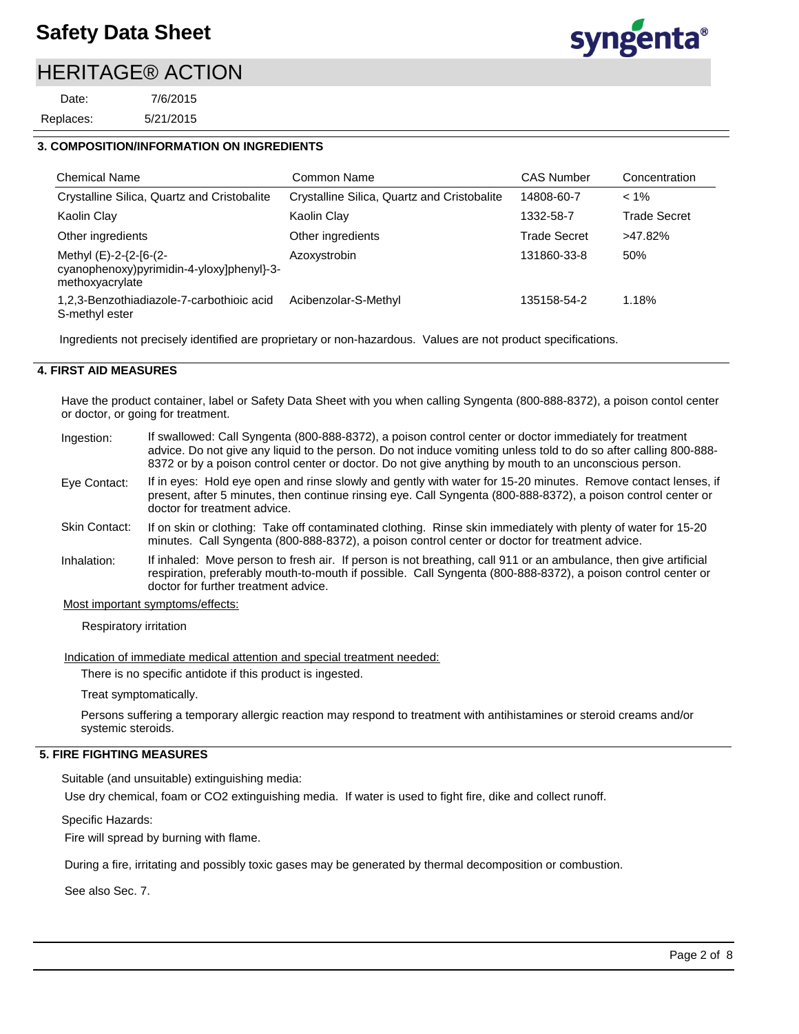# HERITAGE® ACTION

5/21/2015 7/6/2015 Replaces: Date:



### **3. COMPOSITION/INFORMATION ON INGREDIENTS**

| <b>Chemical Name</b>                                                                   | Common Name                                 | <b>CAS Number</b>   | Concentration       |
|----------------------------------------------------------------------------------------|---------------------------------------------|---------------------|---------------------|
| Crystalline Silica, Quartz and Cristobalite                                            | Crystalline Silica, Quartz and Cristobalite | 14808-60-7          | $< 1\%$             |
| Kaolin Clay                                                                            | Kaolin Clay                                 | 1332-58-7           | <b>Trade Secret</b> |
| Other ingredients                                                                      | Other ingredients                           | <b>Trade Secret</b> | >47.82%             |
| Methyl (E)-2-{2-[6-(2-<br>cyanophenoxy)pyrimidin-4-yloxy]phenyl}-3-<br>methoxyacrylate | Azoxystrobin                                | 131860-33-8         | 50%                 |
| 1,2,3-Benzothiadiazole-7-carbothioic acid<br>S-methyl ester                            | Acibenzolar-S-Methyl                        | 135158-54-2         | 1.18%               |

Ingredients not precisely identified are proprietary or non-hazardous. Values are not product specifications.

#### **4. FIRST AID MEASURES**

Have the product container, label or Safety Data Sheet with you when calling Syngenta (800-888-8372), a poison contol center or doctor, or going for treatment.

- If swallowed: Call Syngenta (800-888-8372), a poison control center or doctor immediately for treatment advice. Do not give any liquid to the person. Do not induce vomiting unless told to do so after calling 800-888- 8372 or by a poison control center or doctor. Do not give anything by mouth to an unconscious person. Ingestion:
- If in eyes: Hold eye open and rinse slowly and gently with water for 15-20 minutes. Remove contact lenses, if present, after 5 minutes, then continue rinsing eye. Call Syngenta (800-888-8372), a poison control center or doctor for treatment advice. Eye Contact:
- If on skin or clothing: Take off contaminated clothing. Rinse skin immediately with plenty of water for 15-20 minutes. Call Syngenta (800-888-8372), a poison control center or doctor for treatment advice. Skin Contact:
- If inhaled: Move person to fresh air. If person is not breathing, call 911 or an ambulance, then give artificial respiration, preferably mouth-to-mouth if possible. Call Syngenta (800-888-8372), a poison control center or doctor for further treatment advice. Inhalation:

Most important symptoms/effects:

Respiratory irritation

Indication of immediate medical attention and special treatment needed:

There is no specific antidote if this product is ingested.

Treat symptomatically.

Persons suffering a temporary allergic reaction may respond to treatment with antihistamines or steroid creams and/or systemic steroids.

### **5. FIRE FIGHTING MEASURES**

Suitable (and unsuitable) extinguishing media:

Use dry chemical, foam or CO2 extinguishing media. If water is used to fight fire, dike and collect runoff.

Specific Hazards:

Fire will spread by burning with flame.

During a fire, irritating and possibly toxic gases may be generated by thermal decomposition or combustion.

See also Sec. 7.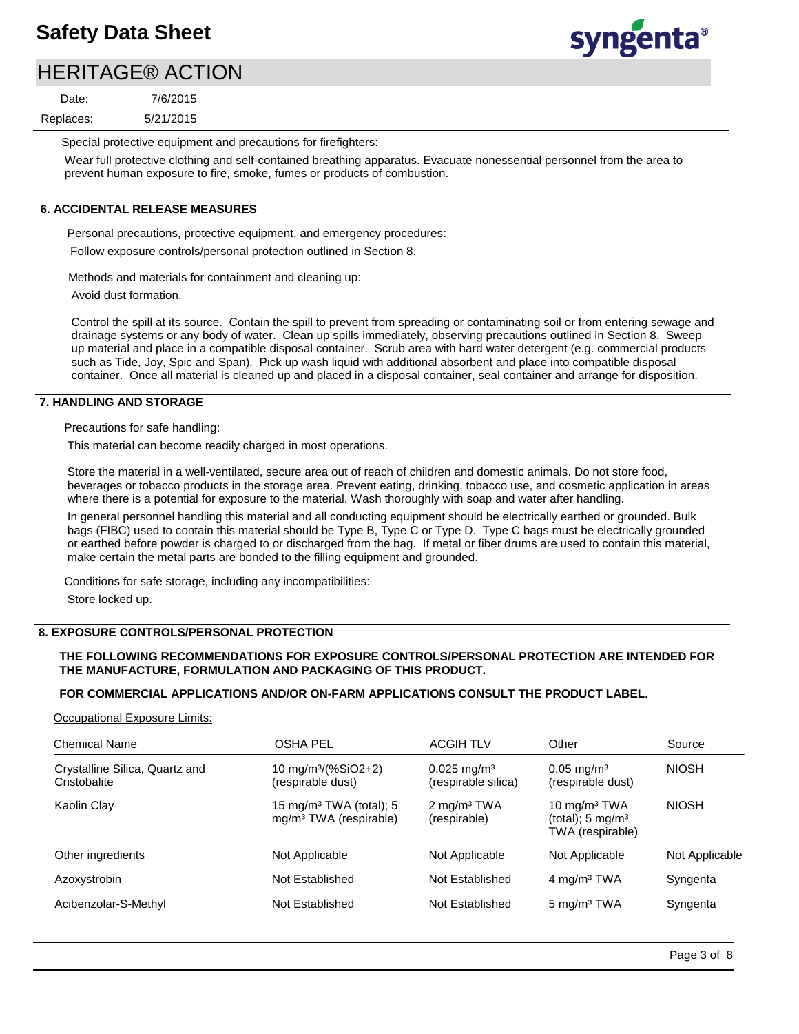# syngenta®

# HERITAGE® ACTION

5/21/2015 7/6/2015 Replaces: Date:

Special protective equipment and precautions for firefighters:

Wear full protective clothing and self-contained breathing apparatus. Evacuate nonessential personnel from the area to prevent human exposure to fire, smoke, fumes or products of combustion.

### **6. ACCIDENTAL RELEASE MEASURES**

Personal precautions, protective equipment, and emergency procedures: Follow exposure controls/personal protection outlined in Section 8.

Methods and materials for containment and cleaning up:

Avoid dust formation.

Control the spill at its source. Contain the spill to prevent from spreading or contaminating soil or from entering sewage and drainage systems or any body of water. Clean up spills immediately, observing precautions outlined in Section 8. Sweep up material and place in a compatible disposal container. Scrub area with hard water detergent (e.g. commercial products such as Tide, Joy, Spic and Span). Pick up wash liquid with additional absorbent and place into compatible disposal container. Once all material is cleaned up and placed in a disposal container, seal container and arrange for disposition.

#### **7. HANDLING AND STORAGE**

Precautions for safe handling:

This material can become readily charged in most operations.

Store the material in a well-ventilated, secure area out of reach of children and domestic animals. Do not store food, beverages or tobacco products in the storage area. Prevent eating, drinking, tobacco use, and cosmetic application in areas where there is a potential for exposure to the material. Wash thoroughly with soap and water after handling.

In general personnel handling this material and all conducting equipment should be electrically earthed or grounded. Bulk bags (FIBC) used to contain this material should be Type B, Type C or Type D. Type C bags must be electrically grounded or earthed before powder is charged to or discharged from the bag. If metal or fiber drums are used to contain this material, make certain the metal parts are bonded to the filling equipment and grounded.

Conditions for safe storage, including any incompatibilities: Store locked up.

### **8. EXPOSURE CONTROLS/PERSONAL PROTECTION**

### **THE FOLLOWING RECOMMENDATIONS FOR EXPOSURE CONTROLS/PERSONAL PROTECTION ARE INTENDED FOR THE MANUFACTURE, FORMULATION AND PACKAGING OF THIS PRODUCT.**

### **FOR COMMERCIAL APPLICATIONS AND/OR ON-FARM APPLICATIONS CONSULT THE PRODUCT LABEL.**

Occupational Exposure Limits:

| <b>Chemical Name</b>                           | <b>OSHA PEL</b>                                                           | <b>ACGIH TLV</b>                              | Other                                                              | Source         |
|------------------------------------------------|---------------------------------------------------------------------------|-----------------------------------------------|--------------------------------------------------------------------|----------------|
| Crystalline Silica, Quartz and<br>Cristobalite | 10 mg/m <sup>3</sup> /(%SiO2+2)<br>(respirable dust)                      | $0.025 \text{ mg/m}^3$<br>(respirable silica) | $0.05 \text{ mg/m}^3$<br>(respirable dust)                         | <b>NIOSH</b>   |
| Kaolin Clay                                    | 15 mg/m <sup>3</sup> TWA (total); 5<br>mg/m <sup>3</sup> TWA (respirable) | $2 \text{ mg/m}^3$ TWA<br>(respirable)        | 10 mg/m $3$ TWA<br>(total); $5 \text{ mg/m}^3$<br>TWA (respirable) | <b>NIOSH</b>   |
| Other ingredients                              | Not Applicable                                                            | Not Applicable                                | Not Applicable                                                     | Not Applicable |
| Azoxystrobin                                   | Not Established                                                           | Not Established                               | $4 \text{ mg/m}^3$ TWA                                             | Syngenta       |
| Acibenzolar-S-Methyl                           | Not Established                                                           | Not Established                               | 5 mg/m <sup>3</sup> TWA                                            | Syngenta       |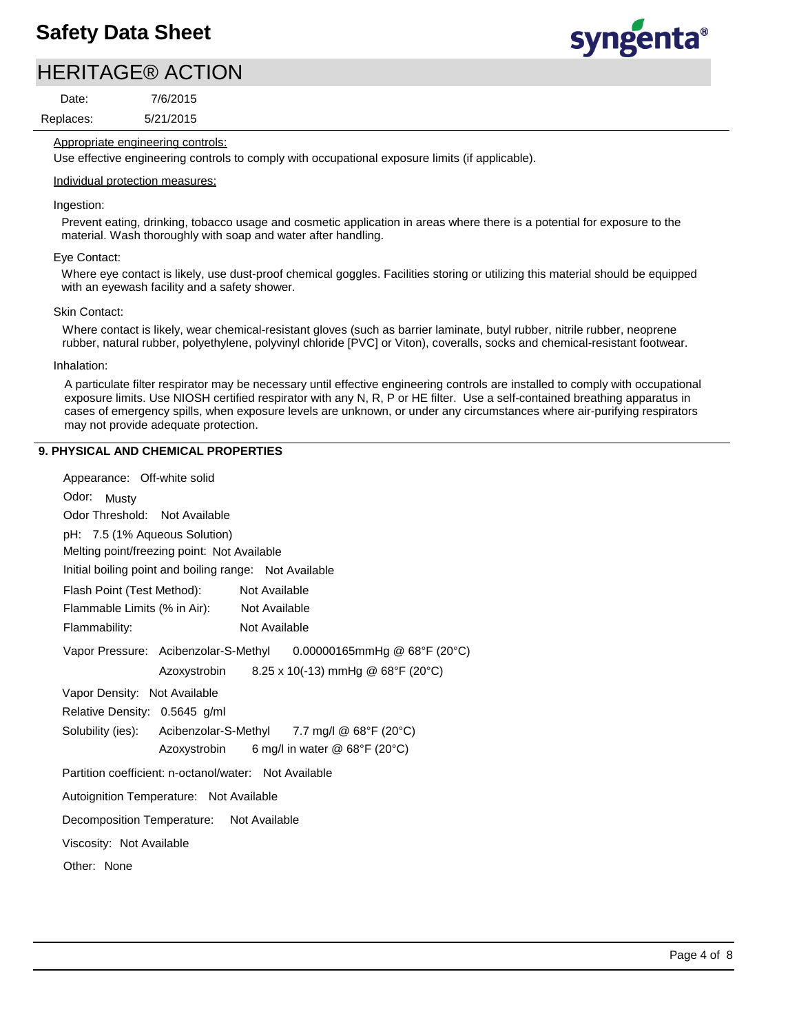# HERITAGE® ACTION

Replaces: Date:

5/21/2015 7/6/2015 syngenta®

### Appropriate engineering controls:

Use effective engineering controls to comply with occupational exposure limits (if applicable).

#### Individual protection measures:

#### Ingestion:

Prevent eating, drinking, tobacco usage and cosmetic application in areas where there is a potential for exposure to the material. Wash thoroughly with soap and water after handling.

#### Eye Contact:

Where eye contact is likely, use dust-proof chemical goggles. Facilities storing or utilizing this material should be equipped with an eyewash facility and a safety shower.

#### Skin Contact:

Where contact is likely, wear chemical-resistant gloves (such as barrier laminate, butyl rubber, nitrile rubber, neoprene rubber, natural rubber, polyethylene, polyvinyl chloride [PVC] or Viton), coveralls, socks and chemical-resistant footwear.

#### Inhalation:

A particulate filter respirator may be necessary until effective engineering controls are installed to comply with occupational exposure limits. Use NIOSH certified respirator with any N, R, P or HE filter. Use a self-contained breathing apparatus in cases of emergency spills, when exposure levels are unknown, or under any circumstances where air-purifying respirators may not provide adequate protection.

### **9. PHYSICAL AND CHEMICAL PROPERTIES**

| Appearance: Off-white solid                                       |
|-------------------------------------------------------------------|
| Odor:<br>Musty                                                    |
| Odor Threshold: Not Available                                     |
| pH: 7.5 (1% Aqueous Solution)                                     |
| Melting point/freezing point: Not Available                       |
| Initial boiling point and boiling range: Not Available            |
| Flash Point (Test Method): Not Available                          |
| Flammable Limits (% in Air): Not Available                        |
| Flammability:<br>Not Available                                    |
| Vapor Pressure: Acibenzolar-S-Methyl 0.00000165mmHg @ 68°F (20°C) |
| Azoxystrobin $8.25 \times 10(-13)$ mmHg @ 68°F (20°C)             |
| Vapor Density: Not Available                                      |
| Relative Density: 0.5645 g/ml                                     |
| Solubility (ies): Acibenzolar-S-Methyl 7.7 mg/l @ 68°F (20°C)     |
| 6 mg/l in water @ 68°F (20°C)<br>Azoxystrobin                     |
| Partition coefficient: n-octanol/water: Not Available             |
| Autoignition Temperature: Not Available                           |
| Decomposition Temperature: Not Available                          |
| Viscosity: Not Available                                          |
| Other: None                                                       |
|                                                                   |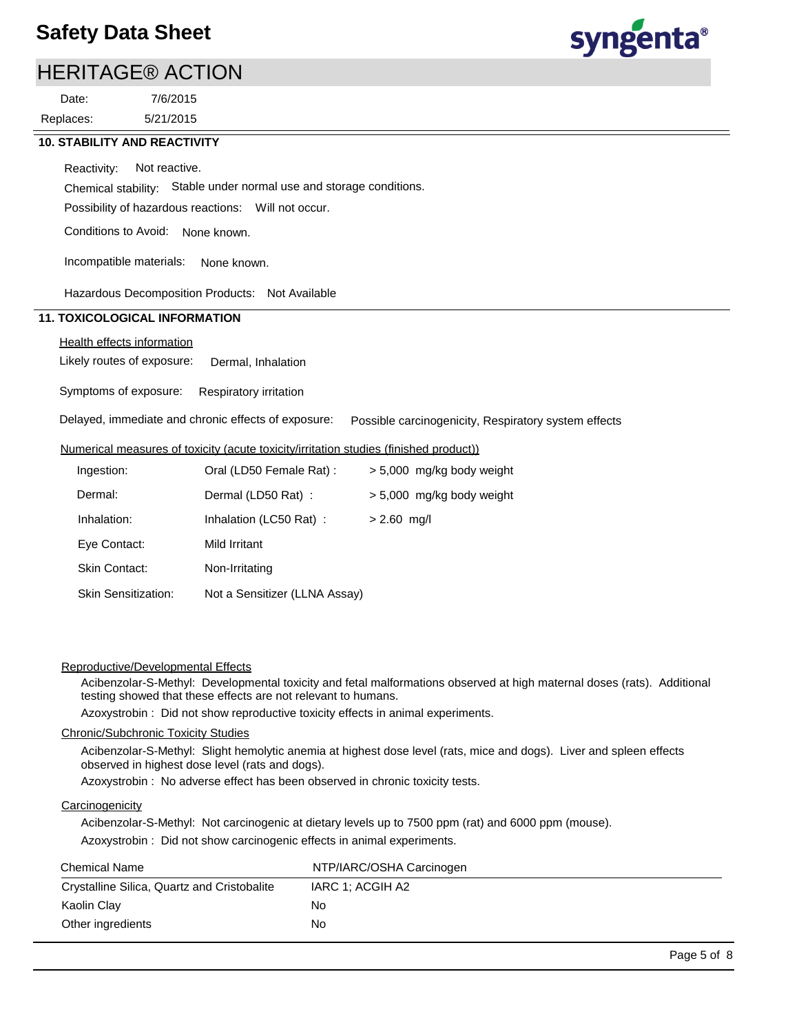# HERITAGE® ACTION

Replaces: Date:

5/21/2015 7/6/2015



### **10. STABILITY AND REACTIVITY**

Reactivity: Not reactive.

Chemical stability: Stable under normal use and storage conditions.

Possibility of hazardous reactions: Will not occur.

Conditions to Avoid: None known.

Incompatible materials: None known.

Hazardous Decomposition Products: Not Available

### **11. TOXICOLOGICAL INFORMATION**

### Health effects information

Likely routes of exposure: Dermal, Inhalation

Symptoms of exposure: Respiratory irritation

Delayed, immediate and chronic effects of exposure: Possible carcinogenicity, Respiratory system effects

#### Numerical measures of toxicity (acute toxicity/irritation studies (finished product))

| Ingestion:                 | Oral (LD50 Female Rat):       | > 5,000 mg/kg body weight |
|----------------------------|-------------------------------|---------------------------|
| Dermal:                    | Dermal (LD50 Rat):            | > 5,000 mg/kg body weight |
| Inhalation:                | Inhalation (LC50 Rat):        | $> 2.60$ mg/l             |
| Eye Contact:               | Mild Irritant                 |                           |
| <b>Skin Contact:</b>       | Non-Irritating                |                           |
| <b>Skin Sensitization:</b> | Not a Sensitizer (LLNA Assay) |                           |

#### Reproductive/Developmental Effects

Acibenzolar-S-Methyl: Developmental toxicity and fetal malformations observed at high maternal doses (rats). Additional testing showed that these effects are not relevant to humans.

Azoxystrobin : Did not show reproductive toxicity effects in animal experiments.

#### Chronic/Subchronic Toxicity Studies

Acibenzolar-S-Methyl: Slight hemolytic anemia at highest dose level (rats, mice and dogs). Liver and spleen effects observed in highest dose level (rats and dogs).

Azoxystrobin : No adverse effect has been observed in chronic toxicity tests.

#### **Carcinogenicity**

Acibenzolar-S-Methyl: Not carcinogenic at dietary levels up to 7500 ppm (rat) and 6000 ppm (mouse).

Azoxystrobin : Did not show carcinogenic effects in animal experiments.

| <b>Chemical Name</b>                        | NTP/IARC/OSHA Carcinogen |
|---------------------------------------------|--------------------------|
| Crystalline Silica, Quartz and Cristobalite | IARC 1: ACGIH A2         |
| Kaolin Clay                                 | No.                      |
| Other ingredients                           | No.                      |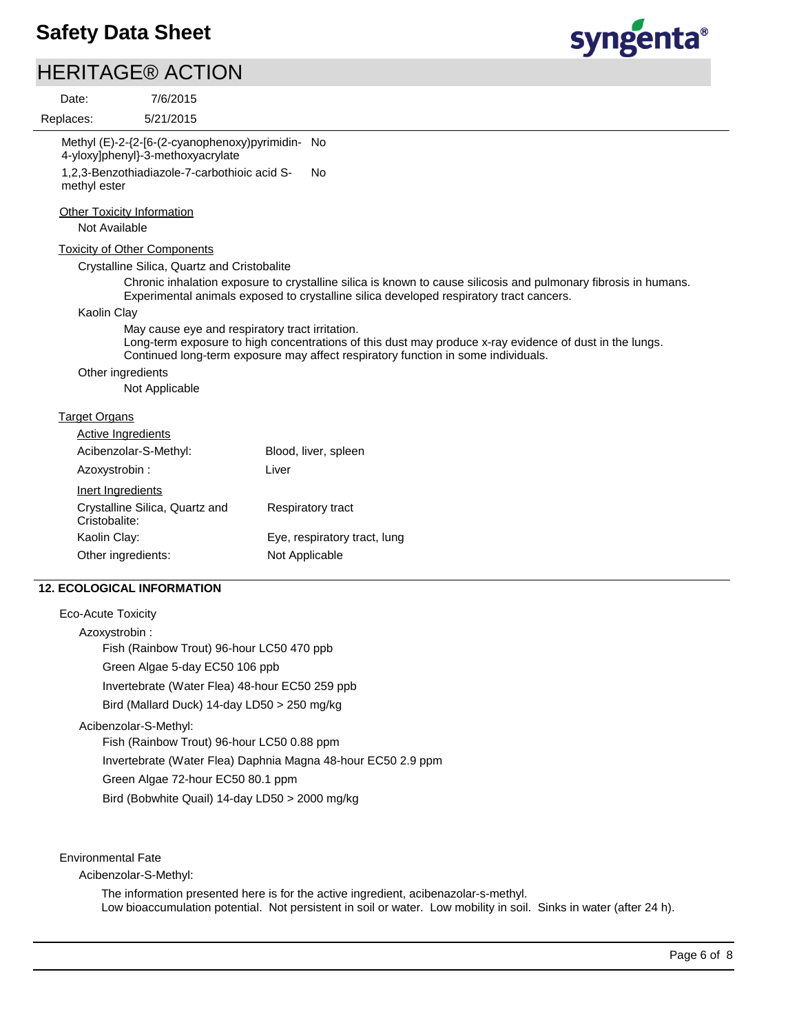# HERITAGE® ACTION

syngenta®

| Date:                                              | 7/6/2015                                                                                                                              |                                                                                                                                                                                                            |
|----------------------------------------------------|---------------------------------------------------------------------------------------------------------------------------------------|------------------------------------------------------------------------------------------------------------------------------------------------------------------------------------------------------------|
| Replaces:                                          | 5/21/2015                                                                                                                             |                                                                                                                                                                                                            |
| methyl ester                                       | Methyl (E)-2-{2-[6-(2-cyanophenoxy)pyrimidin- No<br>4-yloxy]phenyl}-3-methoxyacrylate<br>1,2,3-Benzothiadiazole-7-carbothioic acid S- | <b>No</b>                                                                                                                                                                                                  |
| <b>Other Toxicity Information</b><br>Not Available |                                                                                                                                       |                                                                                                                                                                                                            |
|                                                    | <b>Toxicity of Other Components</b>                                                                                                   |                                                                                                                                                                                                            |
|                                                    | Crystalline Silica, Quartz and Cristobalite                                                                                           |                                                                                                                                                                                                            |
|                                                    |                                                                                                                                       | Chronic inhalation exposure to crystalline silica is known to cause silicosis and pulmonary fibrosis in humans.<br>Experimental animals exposed to crystalline silica developed respiratory tract cancers. |
| Kaolin Clay                                        |                                                                                                                                       |                                                                                                                                                                                                            |
|                                                    | May cause eye and respiratory tract irritation.                                                                                       | Long-term exposure to high concentrations of this dust may produce x-ray evidence of dust in the lungs.<br>Continued long-term exposure may affect respiratory function in some individuals.               |
| Other ingredients                                  |                                                                                                                                       |                                                                                                                                                                                                            |
|                                                    | Not Applicable                                                                                                                        |                                                                                                                                                                                                            |
| <b>Target Organs</b>                               |                                                                                                                                       |                                                                                                                                                                                                            |
| <b>Active Ingredients</b>                          |                                                                                                                                       |                                                                                                                                                                                                            |
|                                                    | Acibenzolar-S-Methyl:                                                                                                                 | Blood, liver, spleen                                                                                                                                                                                       |
| Azoxystrobin :                                     |                                                                                                                                       | Liver                                                                                                                                                                                                      |
| Inert Ingredients                                  |                                                                                                                                       |                                                                                                                                                                                                            |
| Cristobalite:                                      | Crystalline Silica, Quartz and                                                                                                        | Respiratory tract                                                                                                                                                                                          |
| Kaolin Clay:                                       |                                                                                                                                       | Eye, respiratory tract, lung                                                                                                                                                                               |
| Other ingredients:                                 |                                                                                                                                       | Not Applicable                                                                                                                                                                                             |
|                                                    | <b>12. ECOLOGICAL INFORMATION</b>                                                                                                     |                                                                                                                                                                                                            |
| <b>Eco-Acute Toxicity</b>                          |                                                                                                                                       |                                                                                                                                                                                                            |

Azoxystrobin : Fish (Rainbow Trout) 96-hour LC50 470 ppb Green Algae 5-day EC50 106 ppb Invertebrate (Water Flea) 48-hour EC50 259 ppb

Bird (Mallard Duck) 14-day LD50 > 250 mg/kg

Acibenzolar-S-Methyl:

Fish (Rainbow Trout) 96-hour LC50 0.88 ppm Invertebrate (Water Flea) Daphnia Magna 48-hour EC50 2.9 ppm Green Algae 72-hour EC50 80.1 ppm Bird (Bobwhite Quail) 14-day LD50 > 2000 mg/kg

Environmental Fate

Acibenzolar-S-Methyl:

The information presented here is for the active ingredient, acibenazolar-s-methyl. Low bioaccumulation potential. Not persistent in soil or water. Low mobility in soil. Sinks in water (after 24 h).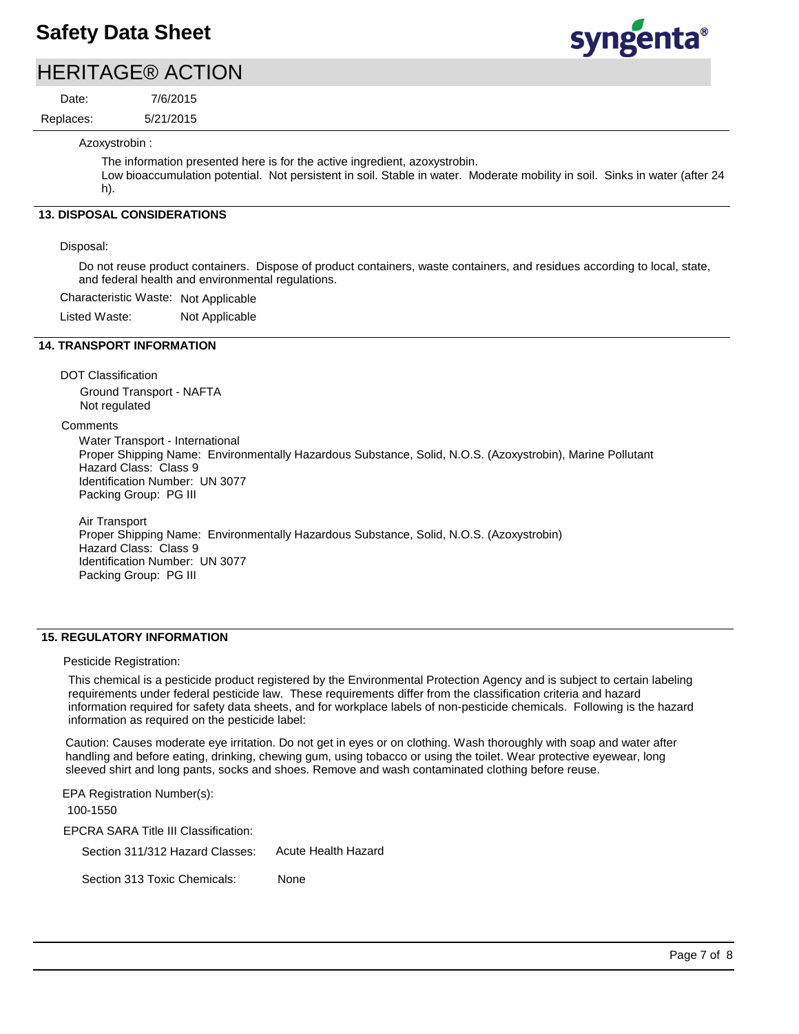# HERITAGE® ACTION

Replaces: Date:

5/21/2015 7/6/2015



Azoxystrobin :

The information presented here is for the active ingredient, azoxystrobin.

Low bioaccumulation potential. Not persistent in soil. Stable in water. Moderate mobility in soil. Sinks in water (after 24 h).

### **13. DISPOSAL CONSIDERATIONS**

#### Disposal:

Do not reuse product containers. Dispose of product containers, waste containers, and residues according to local, state, and federal health and environmental regulations.

Characteristic Waste: Not Applicable

Listed Waste: Not Applicable

#### **14. TRANSPORT INFORMATION**

DOT Classification

Ground Transport - NAFTA Not regulated

**Comments** 

Water Transport - International Proper Shipping Name: Environmentally Hazardous Substance, Solid, N.O.S. (Azoxystrobin), Marine Pollutant Hazard Class: Class 9 Identification Number: UN 3077 Packing Group: PG III

Air Transport Proper Shipping Name: Environmentally Hazardous Substance, Solid, N.O.S. (Azoxystrobin) Hazard Class: Class 9 Identification Number: UN 3077 Packing Group: PG III

### **15. REGULATORY INFORMATION**

Pesticide Registration:

This chemical is a pesticide product registered by the Environmental Protection Agency and is subject to certain labeling requirements under federal pesticide law. These requirements differ from the classification criteria and hazard information required for safety data sheets, and for workplace labels of non-pesticide chemicals. Following is the hazard information as required on the pesticide label:

Caution: Causes moderate eye irritation. Do not get in eyes or on clothing. Wash thoroughly with soap and water after handling and before eating, drinking, chewing gum, using tobacco or using the toilet. Wear protective eyewear, long sleeved shirt and long pants, socks and shoes. Remove and wash contaminated clothing before reuse.

EPCRA SARA Title III Classification: Section 311/312 Hazard Classes: Section 313 Toxic Chemicals: EPA Registration Number(s): 100-1550 None Acute Health Hazard